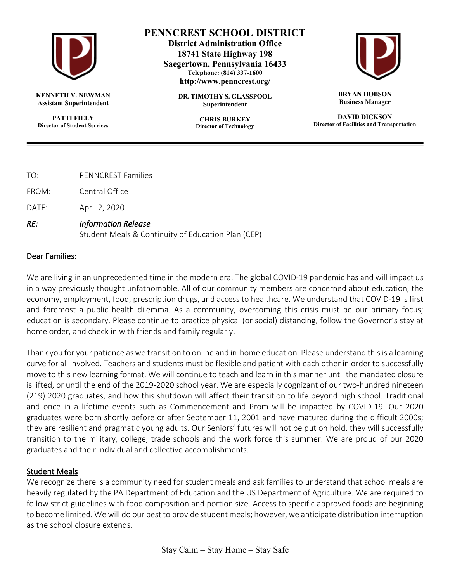

**KENNETH V. NEWMAN Assistant Superintendent**

**PATTI FIELY Director of Student Services**

## **PENNCREST SCHOOL DISTRICT**

**District Administration Office 18741 State Highway 198 Saegertown, Pennsylvania 16433 Telephone: (814) 337-1600 http://www.penncrest.org/**

> **DR. TIMOTHY S. GLASSPOOL Superintendent**

> > **CHRIS BURKEY Director of Technology**



**BRYAN HOBSON Business Manager**

**DAVID DICKSON Director of Facilities and Transportation**

- TO: PENNCREST Families
- FROM: Central Office
- DATE: April 2, 2020
- *RE: Information Release*

Student Meals & Continuity of Education Plan (CEP)

## Dear Families:

We are living in an unprecedented time in the modern era. The global COVID-19 pandemic has and will impact us in a way previously thought unfathomable. All of our community members are concerned about education, the economy, employment, food, prescription drugs, and access to healthcare. We understand that COVID-19 is first and foremost a public health dilemma. As a community, overcoming this crisis must be our primary focus; education is secondary. Please continue to practice physical (or social) distancing, follow the Governor's stay at home order, and check in with friends and family regularly.

Thank you for your patience as we transition to online and in-home education. Please understand this is a learning curve for all involved. Teachers and students must be flexible and patient with each other in order to successfully move to this new learning format. We will continue to teach and learn in this manner until the mandated closure is lifted, or until the end of the 2019-2020 school year. We are especially cognizant of our two-hundred nineteen (219) 2020 graduates, and how this shutdown will affect their transition to life beyond high school. Traditional and once in a lifetime events such as Commencement and Prom will be impacted by COVID-19. Our 2020 graduates were born shortly before or after September 11, 2001 and have matured during the difficult 2000s; they are resilient and pragmatic young adults. Our Seniors' futures will not be put on hold, they will successfully transition to the military, college, trade schools and the work force this summer. We are proud of our 2020 graduates and their individual and collective accomplishments.

## Student Meals

We recognize there is a community need for student meals and ask families to understand that school meals are heavily regulated by the PA Department of Education and the US Department of Agriculture. We are required to follow strict guidelines with food composition and portion size. Access to specific approved foods are beginning to become limited. We will do our best to provide student meals; however, we anticipate distribution interruption as the school closure extends.